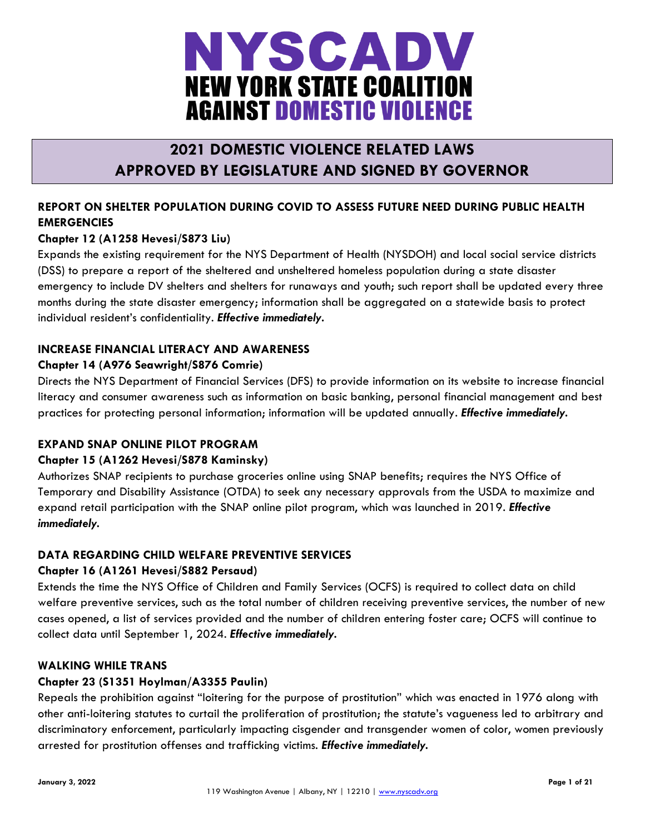

# **2021 DOMESTIC VIOLENCE RELATED LAWS APPROVED BY LEGISLATURE AND SIGNED BY GOVERNOR**

# **REPORT ON SHELTER POPULATION DURING COVID TO ASSESS FUTURE NEED DURING PUBLIC HEALTH EMERGENCIES**

# **Chapter 12 (A1258 Hevesi/S873 Liu)**

Expands the existing requirement for the NYS Department of Health (NYSDOH) and local social service districts (DSS) to prepare a report of the sheltered and unsheltered homeless population during a state disaster emergency to include DV shelters and shelters for runaways and youth; such report shall be updated every three months during the state disaster emergency; information shall be aggregated on a statewide basis to protect individual resident's confidentiality. *Effective immediately.*

# **INCREASE FINANCIAL LITERACY AND AWARENESS**

## **Chapter 14 (A976 Seawright/S876 Comrie)**

Directs the NYS Department of Financial Services (DFS) to provide information on its website to increase financial literacy and consumer awareness such as information on basic banking, personal financial management and best practices for protecting personal information; information will be updated annually. *Effective immediately.*

#### **EXPAND SNAP ONLINE PILOT PROGRAM**

#### **Chapter 15 (A1262 Hevesi/S878 Kaminsky)**

Authorizes SNAP recipients to purchase groceries online using SNAP benefits; requires the NYS Office of Temporary and Disability Assistance (OTDA) to seek any necessary approvals from the USDA to maximize and expand retail participation with the SNAP online pilot program, which was launched in 2019. *Effective immediately.*

# **DATA REGARDING CHILD WELFARE PREVENTIVE SERVICES**

# **Chapter 16 (A1261 Hevesi/S882 Persaud)**

Extends the time the NYS Office of Children and Family Services (OCFS) is required to collect data on child welfare preventive services, such as the total number of children receiving preventive services, the number of new cases opened, a list of services provided and the number of children entering foster care; OCFS will continue to collect data until September 1, 2024. *Effective immediately.*

#### **WALKING WHILE TRANS**

#### **Chapter 23 (S1351 Hoylman/A3355 Paulin)**

Repeals the prohibition against "loitering for the purpose of prostitution" which was enacted in 1976 along with other anti-loitering statutes to curtail the proliferation of prostitution; the statute's vagueness led to arbitrary and discriminatory enforcement, particularly impacting cisgender and transgender women of color, women previously arrested for prostitution offenses and trafficking victims. *Effective immediately.*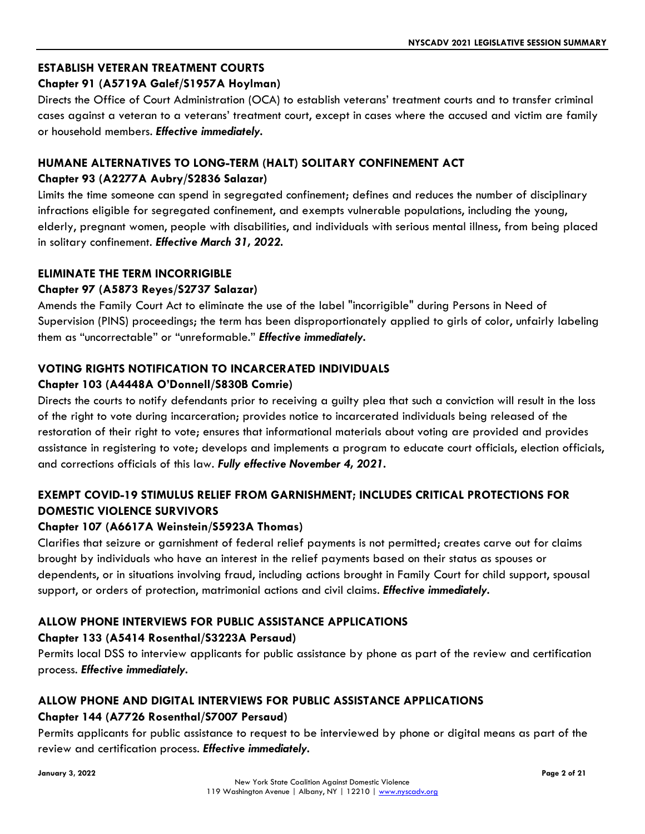# **ESTABLISH VETERAN TREATMENT COURTS**

## **Chapter 91 (A5719A Galef/S1957A Hoylman)**

Directs the Office of Court Administration (OCA) to establish veterans' treatment courts and to transfer criminal cases against a veteran to a veterans' treatment court, except in cases where the accused and victim are family or household members. *Effective immediately.*

# **HUMANE ALTERNATIVES TO LONG-TERM (HALT) SOLITARY CONFINEMENT ACT Chapter 93 (A2277A Aubry/S2836 Salazar)**

Limits the time someone can spend in segregated confinement; defines and reduces the number of disciplinary infractions eligible for segregated confinement, and exempts vulnerable populations, including the young, elderly, pregnant women, people with disabilities, and individuals with serious mental illness, from being placed in solitary confinement. *Effective March 31, 2022.*

## **ELIMINATE THE TERM INCORRIGIBLE**

## **Chapter 97 (A5873 Reyes/S2737 Salazar)**

Amends the Family Court Act to eliminate the use of the label "incorrigible" during Persons in Need of Supervision (PINS) proceedings; the term has been disproportionately applied to girls of color, unfairly labeling them as "uncorrectable" or "unreformable." *Effective immediately.*

# **VOTING RIGHTS NOTIFICATION TO INCARCERATED INDIVIDUALS**

## **Chapter 103 (A4448A O'Donnell/S830B Comrie)**

Directs the courts to notify defendants prior to receiving a guilty plea that such a conviction will result in the loss of the right to vote during incarceration; provides notice to incarcerated individuals being released of the restoration of their right to vote; ensures that informational materials about voting are provided and provides assistance in registering to vote; develops and implements a program to educate court officials, election officials, and corrections officials of this law. *Fully effective November 4, 2021.*

# **EXEMPT COVID-19 STIMULUS RELIEF FROM GARNISHMENT; INCLUDES CRITICAL PROTECTIONS FOR DOMESTIC VIOLENCE SURVIVORS**

#### **Chapter 107 (A6617A Weinstein/S5923A Thomas)**

Clarifies that seizure or garnishment of federal relief payments is not permitted; creates carve out for claims brought by individuals who have an interest in the relief payments based on their status as spouses or dependents, or in situations involving fraud, including actions brought in Family Court for child support, spousal support, or orders of protection, matrimonial actions and civil claims. *Effective immediately.*

# **ALLOW PHONE INTERVIEWS FOR PUBLIC ASSISTANCE APPLICATIONS**

#### **Chapter 133 (A5414 Rosenthal/S3223A Persaud)**

Permits local DSS to interview applicants for public assistance by phone as part of the review and certification process. *Effective immediately.*

# **ALLOW PHONE AND DIGITAL INTERVIEWS FOR PUBLIC ASSISTANCE APPLICATIONS Chapter 144 (A7726 Rosenthal/S7007 Persaud)**

Permits applicants for public assistance to request to be interviewed by phone or digital means as part of the review and certification process. *Effective immediately.*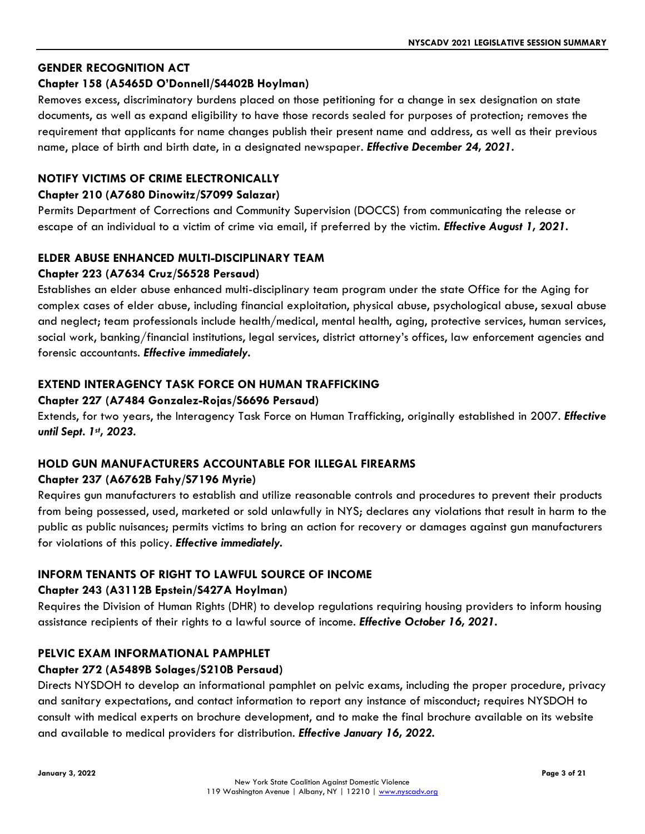## **GENDER RECOGNITION ACT**

#### **Chapter 158 (A5465D O'Donnell/S4402B Hoylman)**

Removes excess, discriminatory burdens placed on those petitioning for a change in sex designation on state documents, as well as expand eligibility to have those records sealed for purposes of protection; removes the requirement that applicants for name changes publish their present name and address, as well as their previous name, place of birth and birth date, in a designated newspaper. *Effective December 24, 2021.*

## **NOTIFY VICTIMS OF CRIME ELECTRONICALLY**

#### **Chapter 210 (A7680 Dinowitz/S7099 Salazar)**

Permits Department of Corrections and Community Supervision (DOCCS) from communicating the release or escape of an individual to a victim of crime via email, if preferred by the victim. *Effective August 1, 2021.*

# **ELDER ABUSE ENHANCED MULTI-DISCIPLINARY TEAM**

## **Chapter 223 (A7634 Cruz/S6528 Persaud)**

Establishes an elder abuse enhanced multi-disciplinary team program under the state Office for the Aging for complex cases of elder abuse, including financial exploitation, physical abuse, psychological abuse, sexual abuse and neglect; team professionals include health/medical, mental health, aging, protective services, human services, social work, banking/financial institutions, legal services, district attorney's offices, law enforcement agencies and forensic accountants. *Effective immediately.*

#### **EXTEND INTERAGENCY TASK FORCE ON HUMAN TRAFFICKING**

#### **Chapter 227 (A7484 Gonzalez-Rojas/S6696 Persaud)**

Extends, for two years, the Interagency Task Force on Human Trafficking, originally established in 2007. *Effective until Sept. 1st, 2023.*

# **HOLD GUN MANUFACTURERS ACCOUNTABLE FOR ILLEGAL FIREARMS**

#### **Chapter 237 (A6762B Fahy/S7196 Myrie)**

Requires gun manufacturers to establish and utilize reasonable controls and procedures to prevent their products from being possessed, used, marketed or sold unlawfully in NYS; declares any violations that result in harm to the public as public nuisances; permits victims to bring an action for recovery or damages against gun manufacturers for violations of this policy. *Effective immediately.*

#### **INFORM TENANTS OF RIGHT TO LAWFUL SOURCE OF INCOME**

#### **Chapter 243 (A3112B Epstein/S427A Hoylman)**

Requires the Division of Human Rights (DHR) to develop regulations requiring housing providers to inform housing assistance recipients of their rights to a lawful source of income. *Effective October 16, 2021.*

#### **PELVIC EXAM INFORMATIONAL PAMPHLET**

#### **Chapter 272 (A5489B Solages/S210B Persaud)**

Directs NYSDOH to develop an informational pamphlet on pelvic exams, including the proper procedure, privacy and sanitary expectations, and contact information to report any instance of misconduct; requires NYSDOH to consult with medical experts on brochure development, and to make the final brochure available on its website and available to medical providers for distribution. *Effective January 16, 2022.*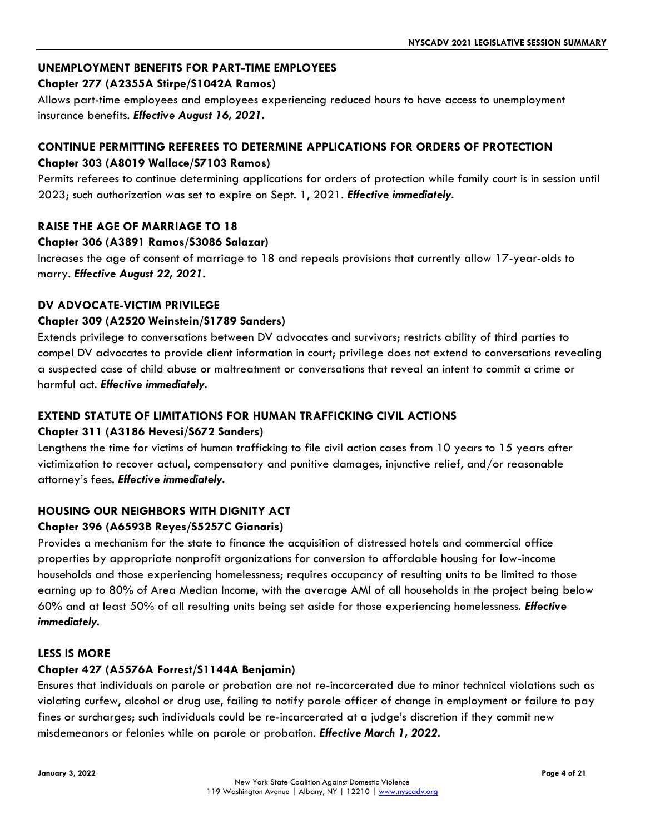# **UNEMPLOYMENT BENEFITS FOR PART-TIME EMPLOYEES**

#### **Chapter 277 (A2355A Stirpe/S1042A Ramos)**

Allows part-time employees and employees experiencing reduced hours to have access to unemployment insurance benefits. *Effective August 16, 2021.*

## **CONTINUE PERMITTING REFEREES TO DETERMINE APPLICATIONS FOR ORDERS OF PROTECTION Chapter 303 (A8019 Wallace/S7103 Ramos)**

Permits referees to continue determining applications for orders of protection while family court is in session until 2023; such authorization was set to expire on Sept. 1, 2021. *Effective immediately.*

## **RAISE THE AGE OF MARRIAGE TO 18**

## **Chapter 306 (A3891 Ramos/S3086 Salazar)**

Increases the age of consent of marriage to 18 and repeals provisions that currently allow 17-year-olds to marry. *Effective August 22, 2021.*

#### **DV ADVOCATE-VICTIM PRIVILEGE**

#### **Chapter 309 (A2520 Weinstein/S1789 Sanders)**

Extends privilege to conversations between DV advocates and survivors; restricts ability of third parties to compel DV advocates to provide client information in court; privilege does not extend to conversations revealing a suspected case of child abuse or maltreatment or conversations that reveal an intent to commit a crime or harmful act. *Effective immediately.*

# **EXTEND STATUTE OF LIMITATIONS FOR HUMAN TRAFFICKING CIVIL ACTIONS**

# **Chapter 311 (A3186 Hevesi/S672 Sanders)**

Lengthens the time for victims of human trafficking to file civil action cases from 10 years to 15 years after victimization to recover actual, compensatory and punitive damages, injunctive relief, and/or reasonable attorney's fees. *Effective immediately.*

# **HOUSING OUR NEIGHBORS WITH DIGNITY ACT**

#### **Chapter 396 (A6593B Reyes/S5257C Gianaris)**

Provides a mechanism for the state to finance the acquisition of distressed hotels and commercial office properties by appropriate nonprofit organizations for conversion to affordable housing for low-income households and those experiencing homelessness; requires occupancy of resulting units to be limited to those earning up to 80% of Area Median Income, with the average AMI of all households in the project being below 60% and at least 50% of all resulting units being set aside for those experiencing homelessness. *Effective immediately.*

#### **LESS IS MORE**

#### **Chapter 427 (A5576A Forrest/S1144A Benjamin)**

Ensures that individuals on parole or probation are not re-incarcerated due to minor technical violations such as violating curfew, alcohol or drug use, failing to notify parole officer of change in employment or failure to pay fines or surcharges; such individuals could be re-incarcerated at a judge's discretion if they commit new misdemeanors or felonies while on parole or probation. *Effective March 1, 2022.*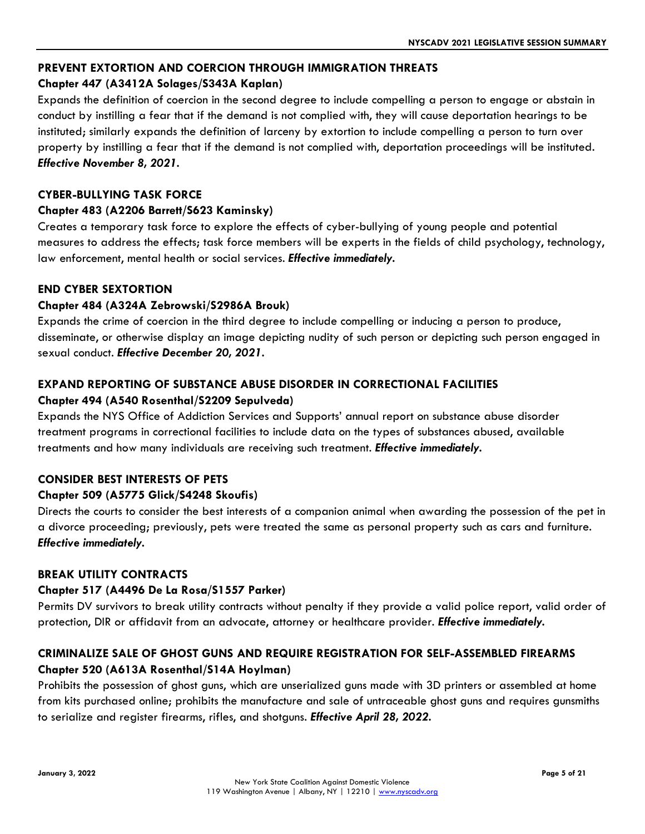# **PREVENT EXTORTION AND COERCION THROUGH IMMIGRATION THREATS**

## **Chapter 447 (A3412A Solages/S343A Kaplan)**

Expands the definition of coercion in the second degree to include compelling a person to engage or abstain in conduct by instilling a fear that if the demand is not complied with, they will cause deportation hearings to be instituted; similarly expands the definition of larceny by extortion to include compelling a person to turn over property by instilling a fear that if the demand is not complied with, deportation proceedings will be instituted. *Effective November 8, 2021.*

#### **CYBER-BULLYING TASK FORCE**

#### **Chapter 483 (A2206 Barrett/S623 Kaminsky)**

Creates a temporary task force to explore the effects of cyber-bullying of young people and potential measures to address the effects; task force members will be experts in the fields of child psychology, technology, law enforcement, mental health or social services. *Effective immediately.*

#### **END CYBER SEXTORTION**

#### **Chapter 484 (A324A Zebrowski/S2986A Brouk)**

Expands the crime of coercion in the third degree to include compelling or inducing a person to produce, disseminate, or otherwise display an image depicting nudity of such person or depicting such person engaged in sexual conduct. *Effective December 20, 2021.* 

#### **EXPAND REPORTING OF SUBSTANCE ABUSE DISORDER IN CORRECTIONAL FACILITIES Chapter 494 (A540 Rosenthal/S2209 Sepulveda)**

Expands the NYS Office of Addiction Services and Supports' annual report on substance abuse disorder treatment programs in correctional facilities to include data on the types of substances abused, available treatments and how many individuals are receiving such treatment. *Effective immediately.*

#### **CONSIDER BEST INTERESTS OF PETS**

#### **Chapter 509 (A5775 Glick/S4248 Skoufis)**

Directs the courts to consider the best interests of a companion animal when awarding the possession of the pet in a divorce proceeding; previously, pets were treated the same as personal property such as cars and furniture. *Effective immediately.*

#### **BREAK UTILITY CONTRACTS**

#### **Chapter 517 (A4496 De La Rosa/S1557 Parker)**

Permits DV survivors to break utility contracts without penalty if they provide a valid police report, valid order of protection, DIR or affidavit from an advocate, attorney or healthcare provider. *Effective immediately.*

# **CRIMINALIZE SALE OF GHOST GUNS AND REQUIRE REGISTRATION FOR SELF-ASSEMBLED FIREARMS Chapter 520 (A613A Rosenthal/S14A Hoylman)**

Prohibits the possession of ghost guns, which are unserialized guns made with 3D printers or assembled at home from kits purchased online; prohibits the manufacture and sale of untraceable ghost guns and requires gunsmiths to serialize and register firearms, rifles, and shotguns. *Effective April 28, 2022.*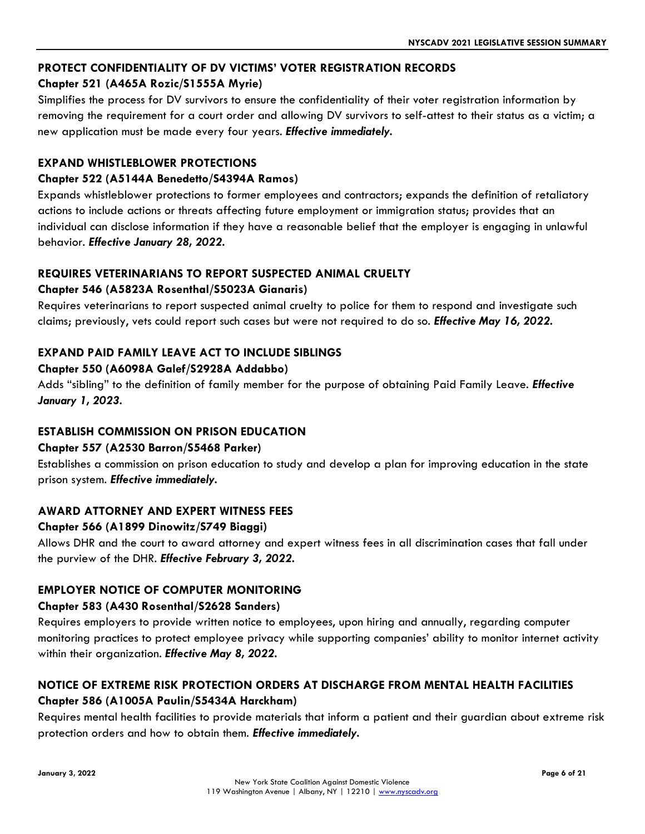# **PROTECT CONFIDENTIALITY OF DV VICTIMS' VOTER REGISTRATION RECORDS**

## **Chapter 521 (A465A Rozic/S1555A Myrie)**

Simplifies the process for DV survivors to ensure the confidentiality of their voter registration information by removing the requirement for a court order and allowing DV survivors to self-attest to their status as a victim; a new application must be made every four years. *Effective immediately.*

#### **EXPAND WHISTLEBLOWER PROTECTIONS**

#### **Chapter 522 (A5144A Benedetto/S4394A Ramos)**

Expands whistleblower protections to former employees and contractors; expands the definition of retaliatory actions to include actions or threats affecting future employment or immigration status; provides that an individual can disclose information if they have a reasonable belief that the employer is engaging in unlawful behavior. *Effective January 28, 2022.*

## **REQUIRES VETERINARIANS TO REPORT SUSPECTED ANIMAL CRUELTY**

#### **Chapter 546 (A5823A Rosenthal/S5023A Gianaris)**

Requires veterinarians to report suspected animal cruelty to police for them to respond and investigate such claims; previously, vets could report such cases but were not required to do so. *Effective May 16, 2022.*

#### **EXPAND PAID FAMILY LEAVE ACT TO INCLUDE SIBLINGS**

#### **Chapter 550 (A6098A Galef/S2928A Addabbo)**

Adds "sibling" to the definition of family member for the purpose of obtaining Paid Family Leave. *Effective January 1, 2023.*

#### **ESTABLISH COMMISSION ON PRISON EDUCATION**

#### **Chapter 557 (A2530 Barron/S5468 Parker)**

Establishes a commission on prison education to study and develop a plan for improving education in the state prison system. *Effective immediately.*

#### **AWARD ATTORNEY AND EXPERT WITNESS FEES**

#### **Chapter 566 (A1899 Dinowitz/S749 Biaggi)**

Allows DHR and the court to award attorney and expert witness fees in all discrimination cases that fall under the purview of the DHR. *Effective February 3, 2022.*

#### **EMPLOYER NOTICE OF COMPUTER MONITORING**

#### **Chapter 583 (A430 Rosenthal/S2628 Sanders)**

Requires employers to provide written notice to employees, upon hiring and annually, regarding computer monitoring practices to protect employee privacy while supporting companies' ability to monitor internet activity within their organization. *Effective May 8, 2022.*

# **NOTICE OF EXTREME RISK PROTECTION ORDERS AT DISCHARGE FROM MENTAL HEALTH FACILITIES Chapter 586 (A1005A Paulin/S5434A Harckham)**

Requires mental health facilities to provide materials that inform a patient and their guardian about extreme risk protection orders and how to obtain them. *Effective immediately.*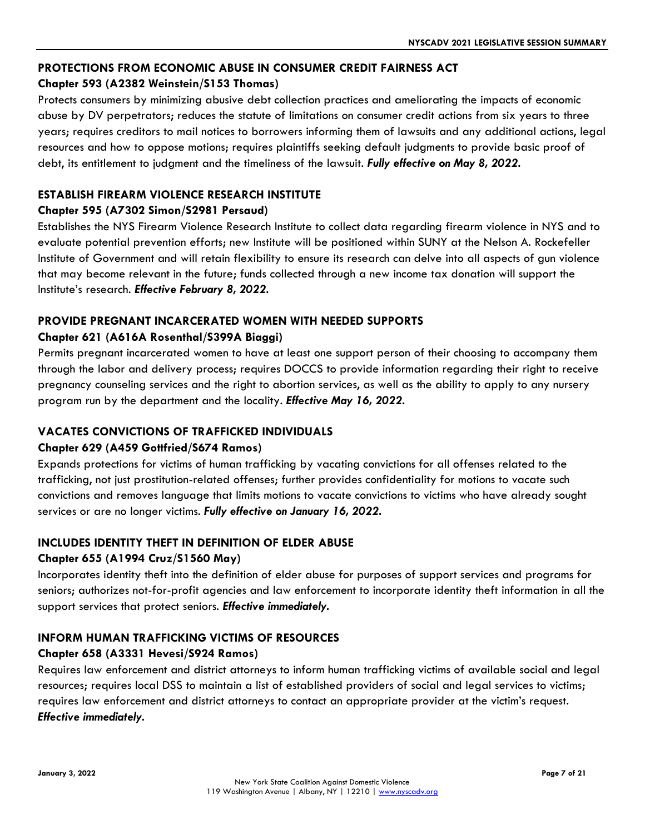## **PROTECTIONS FROM ECONOMIC ABUSE IN CONSUMER CREDIT FAIRNESS ACT**

## **Chapter 593 (A2382 Weinstein/S153 Thomas)**

Protects consumers by minimizing abusive debt collection practices and ameliorating the impacts of economic abuse by DV perpetrators; reduces the statute of limitations on consumer credit actions from six years to three years; requires creditors to mail notices to borrowers informing them of lawsuits and any additional actions, legal resources and how to oppose motions; requires plaintiffs seeking default judgments to provide basic proof of debt, its entitlement to judgment and the timeliness of the lawsuit. *Fully effective on May 8, 2022.*

## **ESTABLISH FIREARM VIOLENCE RESEARCH INSTITUTE**

#### **Chapter 595 (A7302 Simon/S2981 Persaud)**

Establishes the NYS Firearm Violence Research Institute to collect data regarding firearm violence in NYS and to evaluate potential prevention efforts; new Institute will be positioned within SUNY at the Nelson A. Rockefeller Institute of Government and will retain flexibility to ensure its research can delve into all aspects of gun violence that may become relevant in the future; funds collected through a new income tax donation will support the Institute's research. *Effective February 8, 2022.*

# **PROVIDE PREGNANT INCARCERATED WOMEN WITH NEEDED SUPPORTS**

## **Chapter 621 (A616A Rosenthal/S399A Biaggi)**

Permits pregnant incarcerated women to have at least one support person of their choosing to accompany them through the labor and delivery process; requires DOCCS to provide information regarding their right to receive pregnancy counseling services and the right to abortion services, as well as the ability to apply to any nursery program run by the department and the locality. *Effective May 16, 2022.*

#### **VACATES CONVICTIONS OF TRAFFICKED INDIVIDUALS**

#### **Chapter 629 (A459 Gottfried/S674 Ramos)**

Expands protections for victims of human trafficking by vacating convictions for all offenses related to the trafficking, not just prostitution-related offenses; further provides confidentiality for motions to vacate such convictions and removes language that limits motions to vacate convictions to victims who have already sought services or are no longer victims. *Fully effective on January 16, 2022.*

#### **INCLUDES IDENTITY THEFT IN DEFINITION OF ELDER ABUSE**

#### **Chapter 655 (A1994 Cruz/S1560 May)**

Incorporates identity theft into the definition of elder abuse for purposes of support services and programs for seniors; authorizes not-for-profit agencies and law enforcement to incorporate identity theft information in all the support services that protect seniors. *Effective immediately.*

# **INFORM HUMAN TRAFFICKING VICTIMS OF RESOURCES**

#### **Chapter 658 (A3331 Hevesi/S924 Ramos)**

Requires law enforcement and district attorneys to inform human trafficking victims of available social and legal resources; requires local DSS to maintain a list of established providers of social and legal services to victims; requires law enforcement and district attorneys to contact an appropriate provider at the victim's request. *Effective immediately.*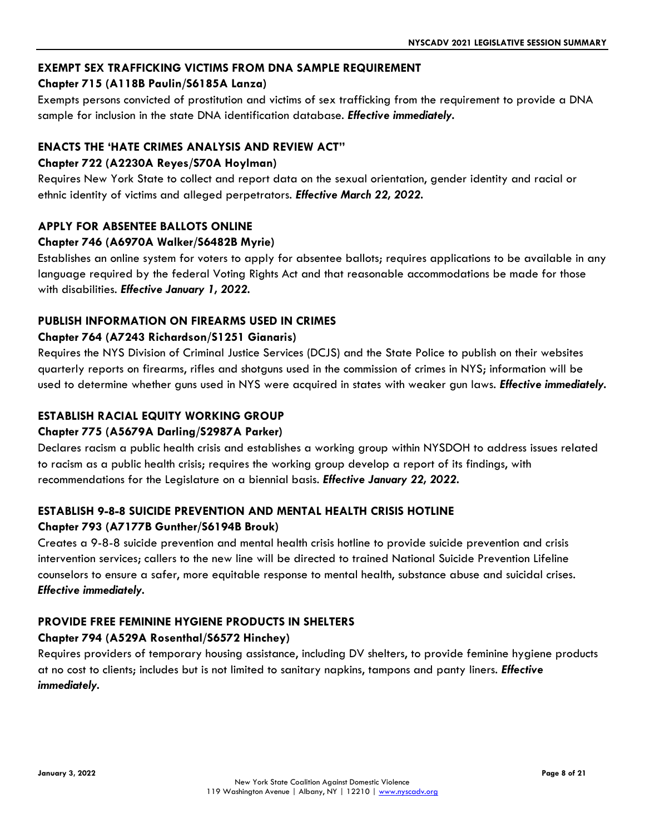# **EXEMPT SEX TRAFFICKING VICTIMS FROM DNA SAMPLE REQUIREMENT**

# **Chapter 715 (A118B Paulin/S6185A Lanza)**

Exempts persons convicted of prostitution and victims of sex trafficking from the requirement to provide a DNA sample for inclusion in the state DNA identification database. *Effective immediately.*

# **ENACTS THE 'HATE CRIMES ANALYSIS AND REVIEW ACT"**

# **Chapter 722 (A2230A Reyes/S70A Hoylman)**

Requires New York State to collect and report data on the sexual orientation, gender identity and racial or ethnic identity of victims and alleged perpetrators. *Effective March 22, 2022.*

## **APPLY FOR ABSENTEE BALLOTS ONLINE**

#### **Chapter 746 (A6970A Walker/S6482B Myrie)**

Establishes an online system for voters to apply for absentee ballots; requires applications to be available in any language required by the federal Voting Rights Act and that reasonable accommodations be made for those with disabilities. *Effective January 1, 2022.*

## **PUBLISH INFORMATION ON FIREARMS USED IN CRIMES**

#### **Chapter 764 (A7243 Richardson/S1251 Gianaris)**

Requires the NYS Division of Criminal Justice Services (DCJS) and the State Police to publish on their websites quarterly reports on firearms, rifles and shotguns used in the commission of crimes in NYS; information will be used to determine whether guns used in NYS were acquired in states with weaker gun laws. *Effective immediately.*

## **ESTABLISH RACIAL EQUITY WORKING GROUP**

#### **Chapter 775 (A5679A Darling/S2987A Parker)**

Declares racism a public health crisis and establishes a working group within NYSDOH to address issues related to racism as a public health crisis; requires the working group develop a report of its findings, with recommendations for the Legislature on a biennial basis. *Effective January 22, 2022.*

# **ESTABLISH 9-8-8 SUICIDE PREVENTION AND MENTAL HEALTH CRISIS HOTLINE**

#### **Chapter 793 (A7177B Gunther/S6194B Brouk)**

Creates a 9-8-8 suicide prevention and mental health crisis hotline to provide suicide prevention and crisis intervention services; callers to the new line will be directed to trained National Suicide Prevention Lifeline counselors to ensure a safer, more equitable response to mental health, substance abuse and suicidal crises. *Effective immediately.*

# **PROVIDE FREE FEMININE HYGIENE PRODUCTS IN SHELTERS**

#### **Chapter 794 (A529A Rosenthal/S6572 Hinchey)**

Requires providers of temporary housing assistance, including DV shelters, to provide feminine hygiene products at no cost to clients; includes but is not limited to sanitary napkins, tampons and panty liners. *Effective immediately.*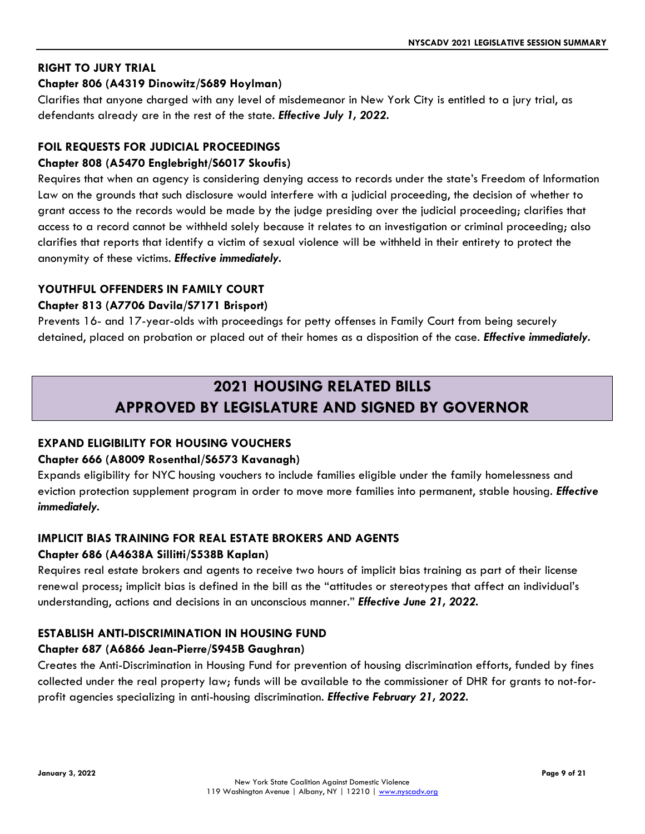## **RIGHT TO JURY TRIAL**

# **Chapter 806 (A4319 Dinowitz/S689 Hoylman)**

Clarifies that anyone charged with any level of misdemeanor in New York City is entitled to a jury trial, as defendants already are in the rest of the state. *Effective July 1, 2022.* 

# **FOIL REQUESTS FOR JUDICIAL PROCEEDINGS**

# **Chapter 808 (A5470 Englebright/S6017 Skoufis)**

Requires that when an agency is considering denying access to records under the state's Freedom of Information Law on the grounds that such disclosure would interfere with a judicial proceeding, the decision of whether to grant access to the records would be made by the judge presiding over the judicial proceeding; clarifies that access to a record cannot be withheld solely because it relates to an investigation or criminal proceeding; also clarifies that reports that identify a victim of sexual violence will be withheld in their entirety to protect the anonymity of these victims. *Effective immediately.*

## **YOUTHFUL OFFENDERS IN FAMILY COURT**

## **Chapter 813 (A7706 Davila/S7171 Brisport)**

Prevents 16- and 17-year-olds with proceedings for petty offenses in Family Court from being securely detained, placed on probation or placed out of their homes as a disposition of the case. *Effective immediately.* 

# **2021 HOUSING RELATED BILLS APPROVED BY LEGISLATURE AND SIGNED BY GOVERNOR**

# **EXPAND ELIGIBILITY FOR HOUSING VOUCHERS**

#### **Chapter 666 (A8009 Rosenthal/S6573 Kavanagh)**

Expands eligibility for NYC housing vouchers to include families eligible under the family homelessness and eviction protection supplement program in order to move more families into permanent, stable housing. *Effective immediately.*

# **IMPLICIT BIAS TRAINING FOR REAL ESTATE BROKERS AND AGENTS**

#### **Chapter 686 (A4638A Sillitti/S538B Kaplan)**

Requires real estate brokers and agents to receive two hours of implicit bias training as part of their license renewal process; implicit bias is defined in the bill as the "attitudes or stereotypes that affect an individual's understanding, actions and decisions in an unconscious manner." *Effective June 21, 2022.*

#### **ESTABLISH ANTI-DISCRIMINATION IN HOUSING FUND**

#### **Chapter 687 (A6866 Jean-Pierre/S945B Gaughran)**

Creates the Anti-Discrimination in Housing Fund for prevention of housing discrimination efforts, funded by fines collected under the real property law; funds will be available to the commissioner of DHR for grants to not-forprofit agencies specializing in anti-housing discrimination. *Effective February 21, 2022.*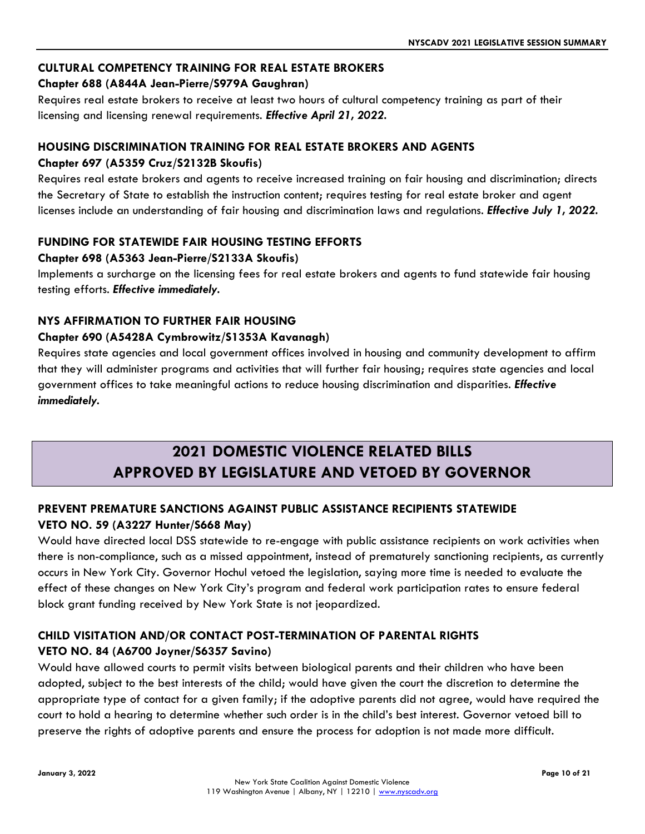## **CULTURAL COMPETENCY TRAINING FOR REAL ESTATE BROKERS**

# **Chapter 688 (A844A Jean-Pierre/S979A Gaughran)**

Requires real estate brokers to receive at least two hours of cultural competency training as part of their licensing and licensing renewal requirements. *Effective April 21, 2022.*

# **HOUSING DISCRIMINATION TRAINING FOR REAL ESTATE BROKERS AND AGENTS**

# **Chapter 697 (A5359 Cruz/S2132B Skoufis)**

Requires real estate brokers and agents to receive increased training on fair housing and discrimination; directs the Secretary of State to establish the instruction content; requires testing for real estate broker and agent licenses include an understanding of fair housing and discrimination laws and regulations. *Effective July 1, 2022.*

# **FUNDING FOR STATEWIDE FAIR HOUSING TESTING EFFORTS**

# **Chapter 698 (A5363 Jean-Pierre/S2133A Skoufis)**

Implements a surcharge on the licensing fees for real estate brokers and agents to fund statewide fair housing testing efforts. *Effective immediately.*

# **NYS AFFIRMATION TO FURTHER FAIR HOUSING**

# **Chapter 690 (A5428A Cymbrowitz/S1353A Kavanagh)**

Requires state agencies and local government offices involved in housing and community development to affirm that they will administer programs and activities that will further fair housing; requires state agencies and local government offices to take meaningful actions to reduce housing discrimination and disparities. *Effective immediately.*

# **2021 DOMESTIC VIOLENCE RELATED BILLS APPROVED BY LEGISLATURE AND VETOED BY GOVERNOR**

# **PREVENT PREMATURE SANCTIONS AGAINST PUBLIC ASSISTANCE RECIPIENTS STATEWIDE VETO NO. 59 (A3227 Hunter/S668 May)**

Would have directed local DSS statewide to re-engage with public assistance recipients on work activities when there is non-compliance, such as a missed appointment, instead of prematurely sanctioning recipients, as currently occurs in New York City. Governor Hochul vetoed the legislation, saying more time is needed to evaluate the effect of these changes on New York City's program and federal work participation rates to ensure federal block grant funding received by New York State is not jeopardized.

# **CHILD VISITATION AND/OR CONTACT POST-TERMINATION OF PARENTAL RIGHTS VETO NO. 84 (A6700 Joyner/S6357 Savino)**

Would have allowed courts to permit visits between biological parents and their children who have been adopted, subject to the best interests of the child; would have given the court the discretion to determine the appropriate type of contact for a given family; if the adoptive parents did not agree, would have required the court to hold a hearing to determine whether such order is in the child's best interest. Governor vetoed bill to preserve the rights of adoptive parents and ensure the process for adoption is not made more difficult.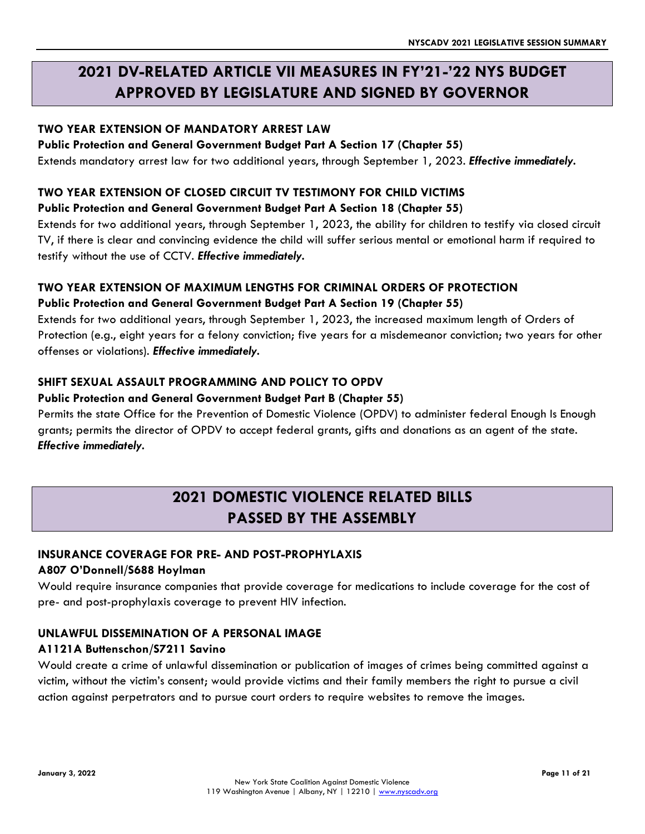# **2021 DV-RELATED ARTICLE VII MEASURES IN FY'21-'22 NYS BUDGET APPROVED BY LEGISLATURE AND SIGNED BY GOVERNOR**

# **TWO YEAR EXTENSION OF MANDATORY ARREST LAW**

#### **Public Protection and General Government Budget Part A Section 17 (Chapter 55)**

Extends mandatory arrest law for two additional years, through September 1, 2023. *Effective immediately.*

## **TWO YEAR EXTENSION OF CLOSED CIRCUIT TV TESTIMONY FOR CHILD VICTIMS**

#### **Public Protection and General Government Budget Part A Section 18 (Chapter 55)**

Extends for two additional years, through September 1, 2023, the ability for children to testify via closed circuit TV, if there is clear and convincing evidence the child will suffer serious mental or emotional harm if required to testify without the use of CCTV. *Effective immediately.*

#### **TWO YEAR EXTENSION OF MAXIMUM LENGTHS FOR CRIMINAL ORDERS OF PROTECTION**

#### **Public Protection and General Government Budget Part A Section 19 (Chapter 55)**

Extends for two additional years, through September 1, 2023, the increased maximum length of Orders of Protection (e.g., eight years for a felony conviction; five years for a misdemeanor conviction; two years for other offenses or violations). *Effective immediately.*

## **SHIFT SEXUAL ASSAULT PROGRAMMING AND POLICY TO OPDV**

#### **Public Protection and General Government Budget Part B (Chapter 55)**

Permits the state Office for the Prevention of Domestic Violence (OPDV) to administer federal Enough Is Enough grants; permits the director of OPDV to accept federal grants, gifts and donations as an agent of the state. *Effective immediately.*

# **2021 DOMESTIC VIOLENCE RELATED BILLS PASSED BY THE ASSEMBLY**

#### **INSURANCE COVERAGE FOR PRE- AND POST-PROPHYLAXIS**

#### **A807 O'Donnell/S688 Hoylman**

Would require insurance companies that provide coverage for medications to include coverage for the cost of pre- and post-prophylaxis coverage to prevent HIV infection.

#### **UNLAWFUL DISSEMINATION OF A PERSONAL IMAGE**

#### **A1121A Buttenschon/S7211 Savino**

Would create a crime of unlawful dissemination or publication of images of crimes being committed against a victim, without the victim's consent; would provide victims and their family members the right to pursue a civil action against perpetrators and to pursue court orders to require websites to remove the images.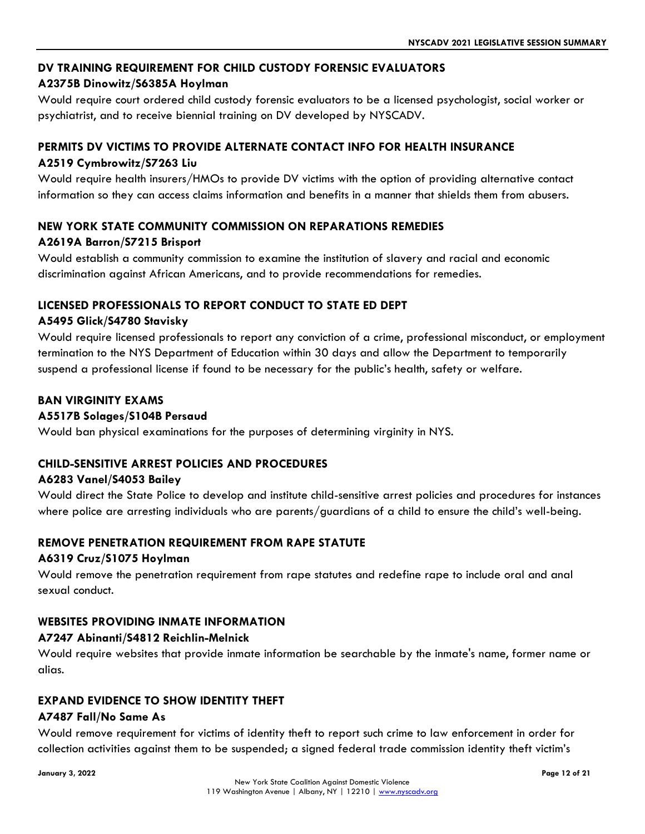## **DV TRAINING REQUIREMENT FOR CHILD CUSTODY FORENSIC EVALUATORS**

#### **A2375B Dinowitz/S6385A Hoylman**

Would require court ordered child custody forensic evaluators to be a licensed psychologist, social worker or psychiatrist, and to receive biennial training on DV developed by NYSCADV.

## **PERMITS DV VICTIMS TO PROVIDE ALTERNATE CONTACT INFO FOR HEALTH INSURANCE A2519 Cymbrowitz/S7263 Liu**

Would require health insurers/HMOs to provide DV victims with the option of providing alternative contact information so they can access claims information and benefits in a manner that shields them from abusers.

## **NEW YORK STATE COMMUNITY COMMISSION ON REPARATIONS REMEDIES**

#### **A2619A Barron/S7215 Brisport**

Would establish a community commission to examine the institution of slavery and racial and economic discrimination against African Americans, and to provide recommendations for remedies.

## **LICENSED PROFESSIONALS TO REPORT CONDUCT TO STATE ED DEPT**

#### **A5495 Glick/S4780 Stavisky**

Would require licensed professionals to report any conviction of a crime, professional misconduct, or employment termination to the NYS Department of Education within 30 days and allow the Department to temporarily suspend a professional license if found to be necessary for the public's health, safety or welfare.

## **BAN VIRGINITY EXAMS**

#### **A5517B Solages/S104B Persaud**

Would ban physical examinations for the purposes of determining virginity in NYS.

#### **CHILD-SENSITIVE ARREST POLICIES AND PROCEDURES**

#### **A6283 Vanel/S4053 Bailey**

Would direct the State Police to develop and institute child-sensitive arrest policies and procedures for instances where police are arresting individuals who are parents/guardians of a child to ensure the child's well-being.

#### **REMOVE PENETRATION REQUIREMENT FROM RAPE STATUTE**

#### **A6319 Cruz/S1075 Hoylman**

Would remove the penetration requirement from rape statutes and redefine rape to include oral and anal sexual conduct.

#### **WEBSITES PROVIDING INMATE INFORMATION**

#### **A7247 Abinanti/S4812 Reichlin-Melnick**

Would require websites that provide inmate information be searchable by the inmate's name, former name or alias.

#### **EXPAND EVIDENCE TO SHOW IDENTITY THEFT**

#### **A7487 Fall/No Same As**

Would remove requirement for victims of identity theft to report such crime to law enforcement in order for collection activities against them to be suspended; a signed federal trade commission identity theft victim's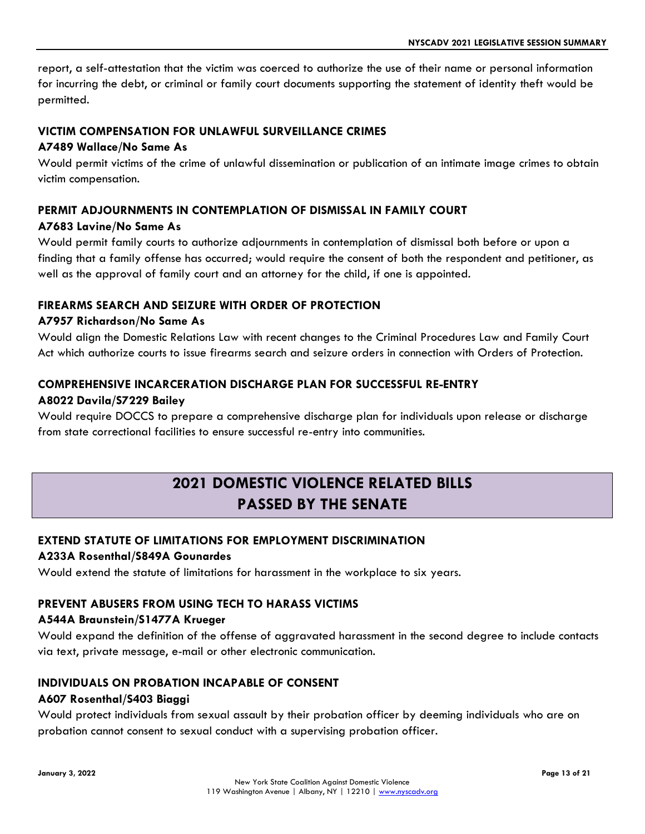report, a self-attestation that the victim was coerced to authorize the use of their name or personal information for incurring the debt, or criminal or family court documents supporting the statement of identity theft would be permitted.

#### **VICTIM COMPENSATION FOR UNLAWFUL SURVEILLANCE CRIMES**

#### **A7489 Wallace/No Same As**

Would permit victims of the crime of unlawful dissemination or publication of an intimate image crimes to obtain victim compensation.

#### **PERMIT ADJOURNMENTS IN CONTEMPLATION OF DISMISSAL IN FAMILY COURT**

#### **A7683 Lavine/No Same As**

Would permit family courts to authorize adjournments in contemplation of dismissal both before or upon a finding that a family offense has occurred; would require the consent of both the respondent and petitioner, as well as the approval of family court and an attorney for the child, if one is appointed.

#### **FIREARMS SEARCH AND SEIZURE WITH ORDER OF PROTECTION**

#### **A7957 Richardson/No Same As**

Would align the Domestic Relations Law with recent changes to the Criminal Procedures Law and Family Court Act which authorize courts to issue firearms search and seizure orders in connection with Orders of Protection.

#### **COMPREHENSIVE INCARCERATION DISCHARGE PLAN FOR SUCCESSFUL RE-ENTRY**

#### **A8022 Davila/S7229 Bailey**

Would require DOCCS to prepare a comprehensive discharge plan for individuals upon release or discharge from state correctional facilities to ensure successful re-entry into communities.

# **2021 DOMESTIC VIOLENCE RELATED BILLS PASSED BY THE SENATE**

#### **EXTEND STATUTE OF LIMITATIONS FOR EMPLOYMENT DISCRIMINATION**

#### **A233A Rosenthal/S849A Gounardes**

Would extend the statute of limitations for harassment in the workplace to six years.

#### **PREVENT ABUSERS FROM USING TECH TO HARASS VICTIMS**

#### **A544A Braunstein/S1477A Krueger**

Would expand the definition of the offense of aggravated harassment in the second degree to include contacts via text, private message, e-mail or other electronic communication.

#### **INDIVIDUALS ON PROBATION INCAPABLE OF CONSENT**

#### **A607 Rosenthal/S403 Biaggi**

Would protect individuals from sexual assault by their probation officer by deeming individuals who are on probation cannot consent to sexual conduct with a supervising probation officer.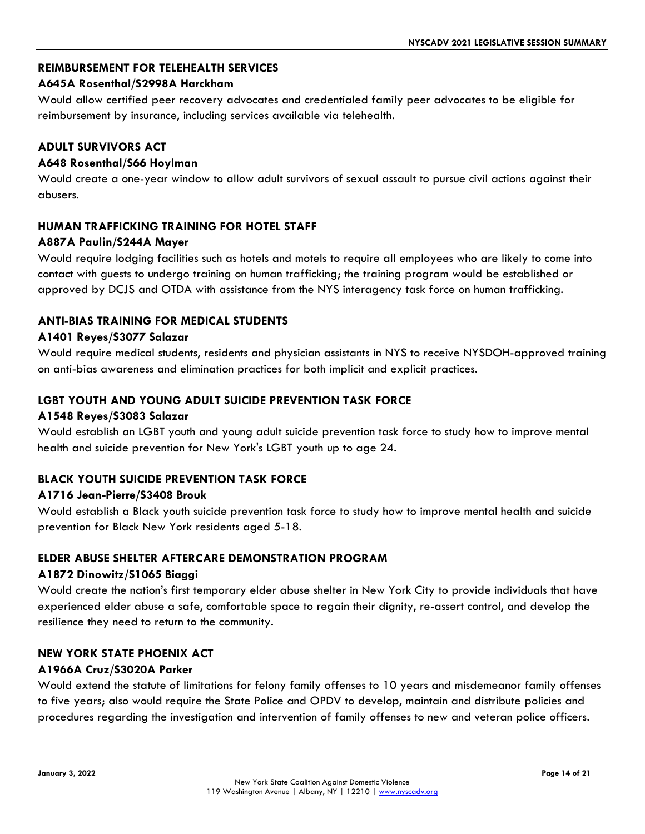# **REIMBURSEMENT FOR TELEHEALTH SERVICES**

#### **A645A Rosenthal/S2998A Harckham**

Would allow certified peer recovery advocates and credentialed family peer advocates to be eligible for reimbursement by insurance, including services available via telehealth.

#### **ADULT SURVIVORS ACT**

#### **A648 Rosenthal/S66 Hoylman**

Would create a one-year window to allow adult survivors of sexual assault to pursue civil actions against their abusers.

#### **HUMAN TRAFFICKING TRAINING FOR HOTEL STAFF**

#### **A887A Paulin/S244A Mayer**

Would require lodging facilities such as hotels and motels to require all employees who are likely to come into contact with guests to undergo training on human trafficking; the training program would be established or approved by DCJS and OTDA with assistance from the NYS interagency task force on human trafficking.

#### **ANTI-BIAS TRAINING FOR MEDICAL STUDENTS**

#### **A1401 Reyes/S3077 Salazar**

Would require medical students, residents and physician assistants in NYS to receive NYSDOH-approved training on anti-bias awareness and elimination practices for both implicit and explicit practices.

#### **LGBT YOUTH AND YOUNG ADULT SUICIDE PREVENTION TASK FORCE**

#### **A1548 Reyes/S3083 Salazar**

Would establish an LGBT youth and young adult suicide prevention task force to study how to improve mental health and suicide prevention for New York's LGBT youth up to age 24.

#### **BLACK YOUTH SUICIDE PREVENTION TASK FORCE**

#### **A1716 Jean-Pierre/S3408 Brouk**

Would establish a Black youth suicide prevention task force to study how to improve mental health and suicide prevention for Black New York residents aged 5-18.

#### **ELDER ABUSE SHELTER AFTERCARE DEMONSTRATION PROGRAM**

#### **A1872 Dinowitz/S1065 Biaggi**

Would create the nation's first temporary elder abuse shelter in New York City to provide individuals that have experienced elder abuse a safe, comfortable space to regain their dignity, re-assert control, and develop the resilience they need to return to the community.

#### **NEW YORK STATE PHOENIX ACT**

#### **A1966A Cruz/S3020A Parker**

Would extend the statute of limitations for felony family offenses to 10 years and misdemeanor family offenses to five years; also would require the State Police and OPDV to develop, maintain and distribute policies and procedures regarding the investigation and intervention of family offenses to new and veteran police officers.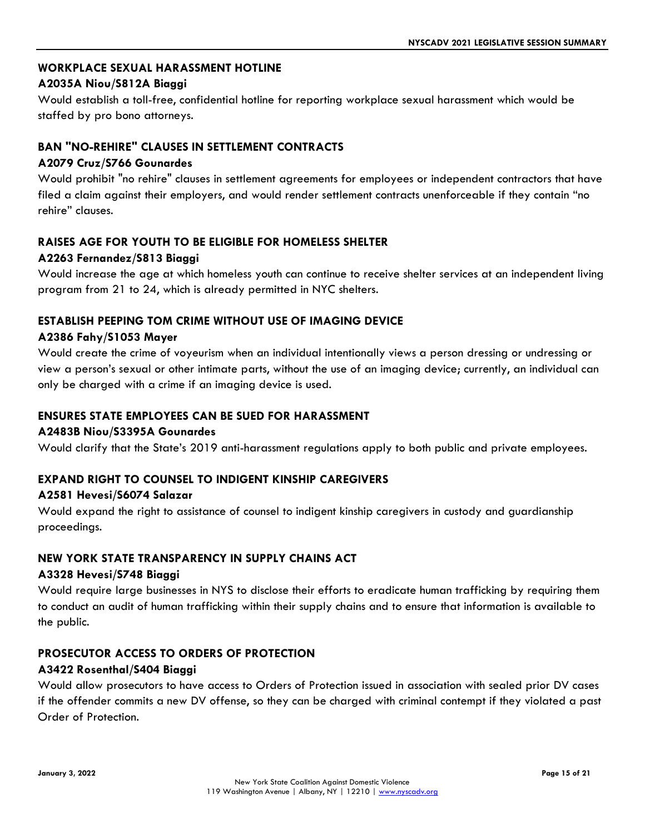## **WORKPLACE SEXUAL HARASSMENT HOTLINE**

#### **A2035A Niou/S812A Biaggi**

Would establish a toll-free, confidential hotline for reporting workplace sexual harassment which would be staffed by pro bono attorneys.

## **BAN "NO-REHIRE" CLAUSES IN SETTLEMENT CONTRACTS**

#### **A2079 Cruz/S766 Gounardes**

Would prohibit "no rehire" clauses in settlement agreements for employees or independent contractors that have filed a claim against their employers, and would render settlement contracts unenforceable if they contain "no rehire" clauses.

#### **RAISES AGE FOR YOUTH TO BE ELIGIBLE FOR HOMELESS SHELTER**

#### **A2263 Fernandez/S813 Biaggi**

Would increase the age at which homeless youth can continue to receive shelter services at an independent living program from 21 to 24, which is already permitted in NYC shelters.

#### **ESTABLISH PEEPING TOM CRIME WITHOUT USE OF IMAGING DEVICE**

#### **A2386 Fahy/S1053 Mayer**

Would create the crime of voyeurism when an individual intentionally views a person dressing or undressing or view a person's sexual or other intimate parts, without the use of an imaging device; currently, an individual can only be charged with a crime if an imaging device is used.

#### **ENSURES STATE EMPLOYEES CAN BE SUED FOR HARASSMENT**

#### **A2483B Niou/S3395A Gounardes**

Would clarify that the State's 2019 anti-harassment regulations apply to both public and private employees.

#### **EXPAND RIGHT TO COUNSEL TO INDIGENT KINSHIP CAREGIVERS**

#### **A2581 Hevesi/S6074 Salazar**

Would expand the right to assistance of counsel to indigent kinship caregivers in custody and guardianship proceedings.

#### **NEW YORK STATE TRANSPARENCY IN SUPPLY CHAINS ACT**

#### **A3328 Hevesi/S748 Biaggi**

Would require large businesses in NYS to disclose their efforts to eradicate human trafficking by requiring them to conduct an audit of human trafficking within their supply chains and to ensure that information is available to the public.

#### **PROSECUTOR ACCESS TO ORDERS OF PROTECTION**

#### **A3422 Rosenthal/S404 Biaggi**

Would allow prosecutors to have access to Orders of Protection issued in association with sealed prior DV cases if the offender commits a new DV offense, so they can be charged with criminal contempt if they violated a past Order of Protection.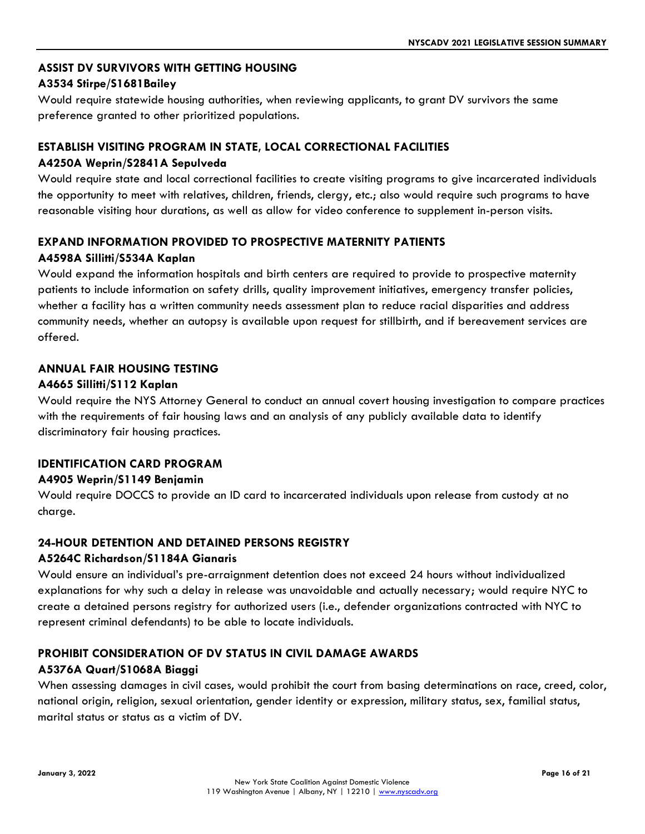# **ASSIST DV SURVIVORS WITH GETTING HOUSING**

#### **A3534 Stirpe/S1681Bailey**

Would require statewide housing authorities, when reviewing applicants, to grant DV survivors the same preference granted to other prioritized populations.

# **ESTABLISH VISITING PROGRAM IN STATE, LOCAL CORRECTIONAL FACILITIES**

#### **A4250A Weprin/S2841A Sepulveda**

Would require state and local correctional facilities to create visiting programs to give incarcerated individuals the opportunity to meet with relatives, children, friends, clergy, etc.; also would require such programs to have reasonable visiting hour durations, as well as allow for video conference to supplement in-person visits.

# **EXPAND INFORMATION PROVIDED TO PROSPECTIVE MATERNITY PATIENTS**

## **A4598A Sillitti/S534A Kaplan**

Would expand the information hospitals and birth centers are required to provide to prospective maternity patients to include information on safety drills, quality improvement initiatives, emergency transfer policies, whether a facility has a written community needs assessment plan to reduce racial disparities and address community needs, whether an autopsy is available upon request for stillbirth, and if bereavement services are offered.

#### **ANNUAL FAIR HOUSING TESTING A4665 Sillitti/S112 Kaplan**

Would require the NYS Attorney General to conduct an annual covert housing investigation to compare practices with the requirements of fair housing laws and an analysis of any publicly available data to identify discriminatory fair housing practices.

#### **IDENTIFICATION CARD PROGRAM**

#### **A4905 Weprin/S1149 Benjamin**

Would require DOCCS to provide an ID card to incarcerated individuals upon release from custody at no charge.

# **24-HOUR DETENTION AND DETAINED PERSONS REGISTRY**

#### **A5264C Richardson/S1184A Gianaris**

Would ensure an individual's pre-arraignment detention does not exceed 24 hours without individualized explanations for why such a delay in release was unavoidable and actually necessary; would require NYC to create a detained persons registry for authorized users (i.e., defender organizations contracted with NYC to represent criminal defendants) to be able to locate individuals.

#### **PROHIBIT CONSIDERATION OF DV STATUS IN CIVIL DAMAGE AWARDS**

#### **A5376A Quart/S1068A Biaggi**

When assessing damages in civil cases, would prohibit the court from basing determinations on race, creed, color, national origin, religion, sexual orientation, gender identity or expression, military status, sex, familial status, marital status or status as a victim of DV.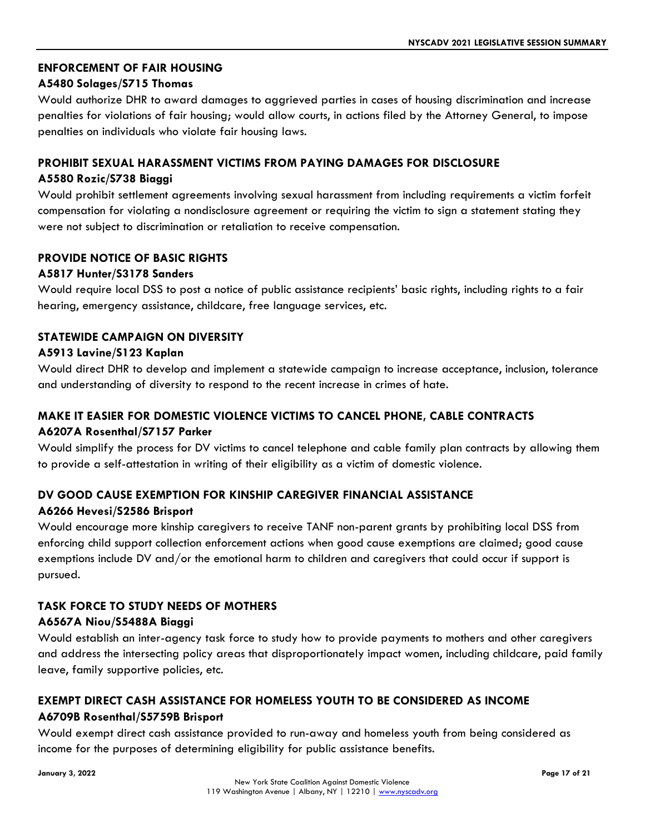## **ENFORCEMENT OF FAIR HOUSING**

#### **A5480 Solages/S715 Thomas**

Would authorize DHR to award damages to aggrieved parties in cases of housing discrimination and increase penalties for violations of fair housing; would allow courts, in actions filed by the Attorney General, to impose penalties on individuals who violate fair housing laws.

#### **PROHIBIT SEXUAL HARASSMENT VICTIMS FROM PAYING DAMAGES FOR DISCLOSURE**

#### **A5580 Rozic/S738 Biaggi**

Would prohibit settlement agreements involving sexual harassment from including requirements a victim forfeit compensation for violating a nondisclosure agreement or requiring the victim to sign a statement stating they were not subject to discrimination or retaliation to receive compensation.

#### **PROVIDE NOTICE OF BASIC RIGHTS**

#### **A5817 Hunter/S3178 Sanders**

Would require local DSS to post a notice of public assistance recipients' basic rights, including rights to a fair hearing, emergency assistance, childcare, free language services, etc.

#### **STATEWIDE CAMPAIGN ON DIVERSITY**

#### **A5913 Lavine/S123 Kaplan**

Would direct DHR to develop and implement a statewide campaign to increase acceptance, inclusion, tolerance and understanding of diversity to respond to the recent increase in crimes of hate.

# **MAKE IT EASIER FOR DOMESTIC VIOLENCE VICTIMS TO CANCEL PHONE, CABLE CONTRACTS A6207A Rosenthal/S7157 Parker**

Would simplify the process for DV victims to cancel telephone and cable family plan contracts by allowing them to provide a self-attestation in writing of their eligibility as a victim of domestic violence.

#### **DV GOOD CAUSE EXEMPTION FOR KINSHIP CAREGIVER FINANCIAL ASSISTANCE**

#### **A6266 Hevesi/S2586 Brisport**

Would encourage more kinship caregivers to receive TANF non-parent grants by prohibiting local DSS from enforcing child support collection enforcement actions when good cause exemptions are claimed; good cause exemptions include DV and/or the emotional harm to children and caregivers that could occur if support is pursued.

#### **TASK FORCE TO STUDY NEEDS OF MOTHERS**

#### **A6567A Niou/S5488A Biaggi**

Would establish an inter-agency task force to study how to provide payments to mothers and other caregivers and address the intersecting policy areas that disproportionately impact women, including childcare, paid family leave, family supportive policies, etc.

# **EXEMPT DIRECT CASH ASSISTANCE FOR HOMELESS YOUTH TO BE CONSIDERED AS INCOME A6709B Rosenthal/S5759B Brisport**

Would exempt direct cash assistance provided to run-away and homeless youth from being considered as income for the purposes of determining eligibility for public assistance benefits.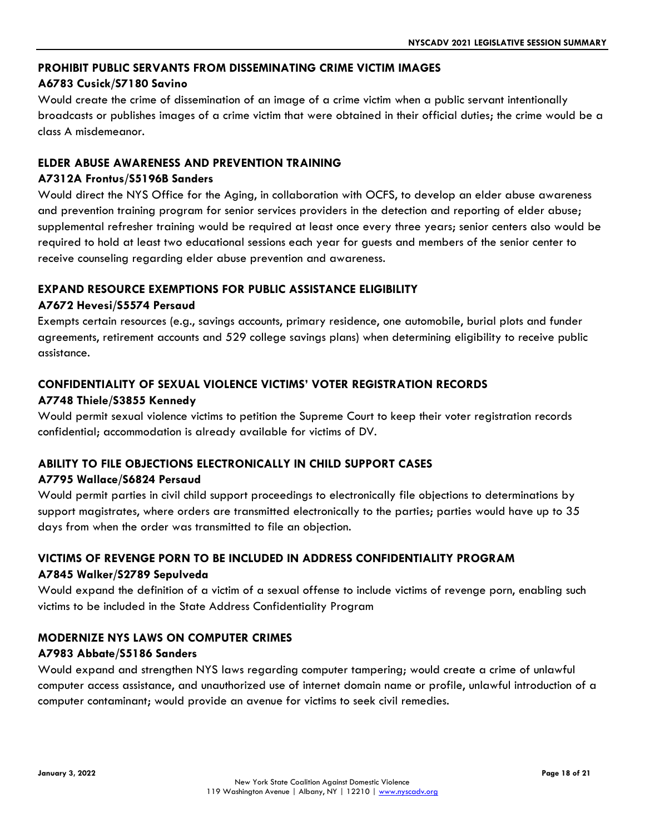#### **PROHIBIT PUBLIC SERVANTS FROM DISSEMINATING CRIME VICTIM IMAGES**

#### **A6783 Cusick/S7180 Savino**

Would create the crime of dissemination of an image of a crime victim when a public servant intentionally broadcasts or publishes images of a crime victim that were obtained in their official duties; the crime would be a class A misdemeanor.

#### **ELDER ABUSE AWARENESS AND PREVENTION TRAINING**

#### **A7312A Frontus/S5196B Sanders**

Would direct the NYS Office for the Aging, in collaboration with OCFS, to develop an elder abuse awareness and prevention training program for senior services providers in the detection and reporting of elder abuse; supplemental refresher training would be required at least once every three years; senior centers also would be required to hold at least two educational sessions each year for guests and members of the senior center to receive counseling regarding elder abuse prevention and awareness.

#### **EXPAND RESOURCE EXEMPTIONS FOR PUBLIC ASSISTANCE ELIGIBILITY**

#### **A7672 Hevesi/S5574 Persaud**

Exempts certain resources (e.g., savings accounts, primary residence, one automobile, burial plots and funder agreements, retirement accounts and 529 college savings plans) when determining eligibility to receive public assistance.

# **CONFIDENTIALITY OF SEXUAL VIOLENCE VICTIMS' VOTER REGISTRATION RECORDS**

#### **A7748 Thiele/S3855 Kennedy**

Would permit sexual violence victims to petition the Supreme Court to keep their voter registration records confidential; accommodation is already available for victims of DV.

#### **ABILITY TO FILE OBJECTIONS ELECTRONICALLY IN CHILD SUPPORT CASES**

#### **A7795 Wallace/S6824 Persaud**

Would permit parties in civil child support proceedings to electronically file objections to determinations by support magistrates, where orders are transmitted electronically to the parties; parties would have up to 35 days from when the order was transmitted to file an objection.

# **VICTIMS OF REVENGE PORN TO BE INCLUDED IN ADDRESS CONFIDENTIALITY PROGRAM A7845 Walker/S2789 Sepulveda**

Would expand the definition of a victim of a sexual offense to include victims of revenge porn, enabling such victims to be included in the State Address Confidentiality Program

#### **MODERNIZE NYS LAWS ON COMPUTER CRIMES**

#### **A7983 Abbate/S5186 Sanders**

Would expand and strengthen NYS laws regarding computer tampering; would create a crime of unlawful computer access assistance, and unauthorized use of internet domain name or profile, unlawful introduction of a computer contaminant; would provide an avenue for victims to seek civil remedies.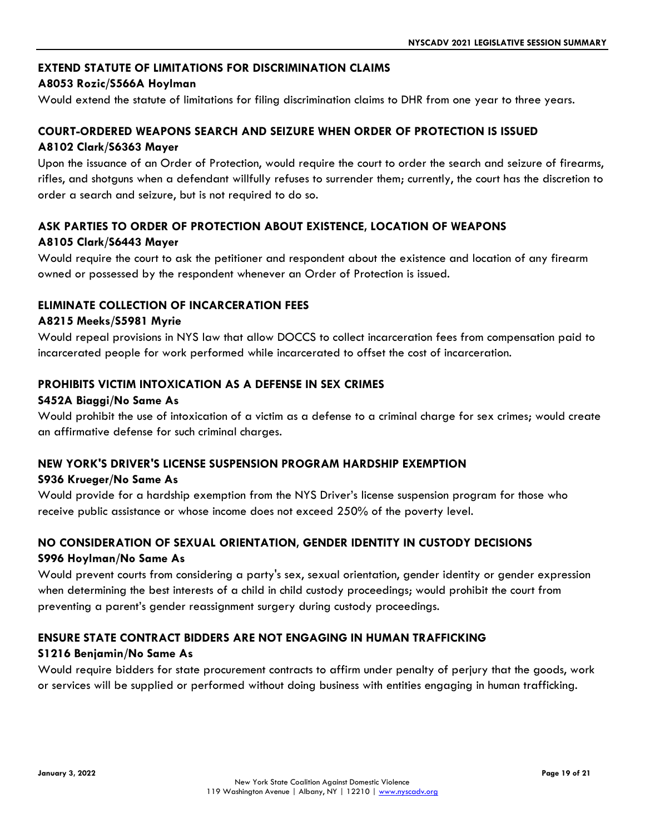#### **EXTEND STATUTE OF LIMITATIONS FOR DISCRIMINATION CLAIMS**

#### **A8053 Rozic/S566A Hoylman**

Would extend the statute of limitations for filing discrimination claims to DHR from one year to three years.

#### **COURT-ORDERED WEAPONS SEARCH AND SEIZURE WHEN ORDER OF PROTECTION IS ISSUED A8102 Clark/S6363 Mayer**

Upon the issuance of an Order of Protection, would require the court to order the search and seizure of firearms, rifles, and shotguns when a defendant willfully refuses to surrender them; currently, the court has the discretion to order a search and seizure, but is not required to do so.

#### **ASK PARTIES TO ORDER OF PROTECTION ABOUT EXISTENCE, LOCATION OF WEAPONS A8105 Clark/S6443 Mayer**

Would require the court to ask the petitioner and respondent about the existence and location of any firearm owned or possessed by the respondent whenever an Order of Protection is issued.

#### **ELIMINATE COLLECTION OF INCARCERATION FEES**

#### **A8215 Meeks/S5981 Myrie**

Would repeal provisions in NYS law that allow DOCCS to collect incarceration fees from compensation paid to incarcerated people for work performed while incarcerated to offset the cost of incarceration.

#### **PROHIBITS VICTIM INTOXICATION AS A DEFENSE IN SEX CRIMES**

#### **S452A Biaggi/No Same As**

Would prohibit the use of intoxication of a victim as a defense to a criminal charge for sex crimes; would create an affirmative defense for such criminal charges.

#### **NEW YORK'S DRIVER'S LICENSE SUSPENSION PROGRAM HARDSHIP EXEMPTION**

#### **S936 Krueger/No Same As**

Would provide for a hardship exemption from the NYS Driver's license suspension program for those who receive public assistance or whose income does not exceed 250% of the poverty level.

# **NO CONSIDERATION OF SEXUAL ORIENTATION, GENDER IDENTITY IN CUSTODY DECISIONS S996 Hoylman/No Same As**

Would prevent courts from considering a party's sex, sexual orientation, gender identity or gender expression when determining the best interests of a child in child custody proceedings; would prohibit the court from preventing a parent's gender reassignment surgery during custody proceedings.

#### **ENSURE STATE CONTRACT BIDDERS ARE NOT ENGAGING IN HUMAN TRAFFICKING**

#### **S1216 Benjamin/No Same As**

Would require bidders for state procurement contracts to affirm under penalty of perjury that the goods, work or services will be supplied or performed without doing business with entities engaging in human trafficking.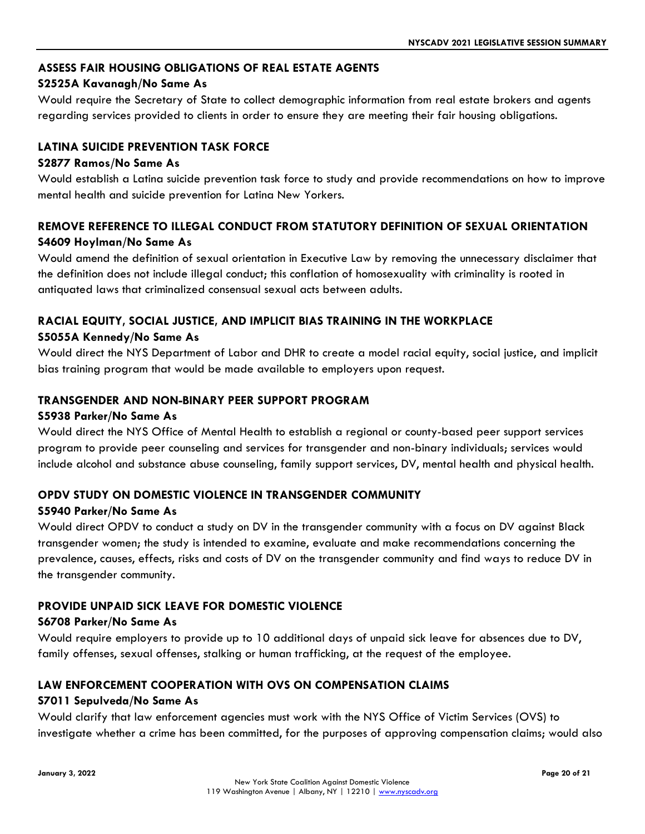## **ASSESS FAIR HOUSING OBLIGATIONS OF REAL ESTATE AGENTS**

#### **S2525A Kavanagh/No Same As**

Would require the Secretary of State to collect demographic information from real estate brokers and agents regarding services provided to clients in order to ensure they are meeting their fair housing obligations.

## **LATINA SUICIDE PREVENTION TASK FORCE**

#### **S2877 Ramos/No Same As**

Would establish a Latina suicide prevention task force to study and provide recommendations on how to improve mental health and suicide prevention for Latina New Yorkers.

# **REMOVE REFERENCE TO ILLEGAL CONDUCT FROM STATUTORY DEFINITION OF SEXUAL ORIENTATION S4609 Hoylman/No Same As**

Would amend the definition of sexual orientation in Executive Law by removing the unnecessary disclaimer that the definition does not include illegal conduct; this conflation of homosexuality with criminality is rooted in antiquated laws that criminalized consensual sexual acts between adults.

## **RACIAL EQUITY, SOCIAL JUSTICE, AND IMPLICIT BIAS TRAINING IN THE WORKPLACE S5055A Kennedy/No Same As**

Would direct the NYS Department of Labor and DHR to create a model racial equity, social justice, and implicit bias training program that would be made available to employers upon request.

#### **TRANSGENDER AND NON-BINARY PEER SUPPORT PROGRAM**

#### **S5938 Parker/No Same As**

Would direct the NYS Office of Mental Health to establish a regional or county-based peer support services program to provide peer counseling and services for transgender and non-binary individuals; services would include alcohol and substance abuse counseling, family support services, DV, mental health and physical health.

#### **OPDV STUDY ON DOMESTIC VIOLENCE IN TRANSGENDER COMMUNITY**

#### **S5940 Parker/No Same As**

Would direct OPDV to conduct a study on DV in the transgender community with a focus on DV against Black transgender women; the study is intended to examine, evaluate and make recommendations concerning the prevalence, causes, effects, risks and costs of DV on the transgender community and find ways to reduce DV in the transgender community.

#### **PROVIDE UNPAID SICK LEAVE FOR DOMESTIC VIOLENCE**

#### **S6708 Parker/No Same As**

Would require employers to provide up to 10 additional days of unpaid sick leave for absences due to DV, family offenses, sexual offenses, stalking or human trafficking, at the request of the employee.

# **LAW ENFORCEMENT COOPERATION WITH OVS ON COMPENSATION CLAIMS**

#### **S7011 Sepulveda/No Same As**

Would clarify that law enforcement agencies must work with the NYS Office of Victim Services (OVS) to investigate whether a crime has been committed, for the purposes of approving compensation claims; would also